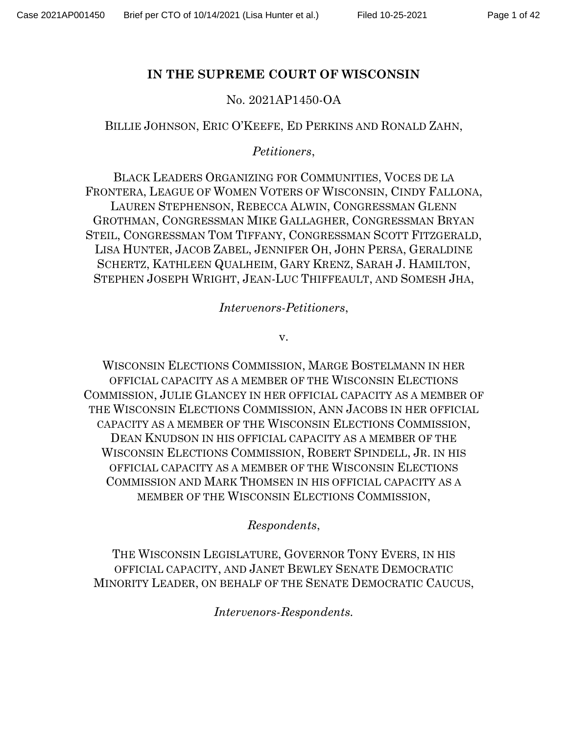#### IN THE SUPREME COURT OF WISCONSIN

#### No. 2021AP1450-OA

#### BILLIE JOHNSON, ERIC O'KEEFE, ED PERKINS AND RONALD ZAHN,

#### Petitioners,

BLACK LEADERS ORGANIZING FOR COMMUNITIES, VOCES DE LA FRONTERA, LEAGUE OF WOMEN VOTERS OF WISCONSIN, CINDY FALLONA, LAUREN STEPHENSON, REBECCA ALWIN, CONGRESSMAN GLENN GROTHMAN, CONGRESSMAN MIKE GALLAGHER, CONGRESSMAN BRYAN STEIL, CONGRESSMAN TOM TIFFANY, CONGRESSMAN SCOTT FITZGERALD, LISA HUNTER, JACOB ZABEL, JENNIFER OH, JOHN PERSA, GERALDINE SCHERTZ, KATHLEEN QUALHEIM, GARY KRENZ, SARAH J. HAMILTON, STEPHEN JOSEPH WRIGHT, JEAN-LUC THIFFEAULT, AND SOMESH JHA,

Intervenors-Petitioners,

v.

WISCONSIN ELECTIONS COMMISSION, MARGE BOSTELMANN IN HER OFFICIAL CAPACITY AS A MEMBER OF THE WISCONSIN ELECTIONS COMMISSION, JULIE GLANCEY IN HER OFFICIAL CAPACITY AS A MEMBER OF THE WISCONSIN ELECTIONS COMMISSION, ANN JACOBS IN HER OFFICIAL CAPACITY AS A MEMBER OF THE WISCONSIN ELECTIONS COMMISSION, DEAN KNUDSON IN HIS OFFICIAL CAPACITY AS A MEMBER OF THE WISCONSIN ELECTIONS COMMISSION, ROBERT SPINDELL, JR. IN HIS OFFICIAL CAPACITY AS A MEMBER OF THE WISCONSIN ELECTIONS COMMISSION AND MARK THOMSEN IN HIS OFFICIAL CAPACITY AS A MEMBER OF THE WISCONSIN ELECTIONS COMMISSION,

Respondents,

THE WISCONSIN LEGISLATURE, GOVERNOR TONY EVERS, IN HIS OFFICIAL CAPACITY, AND JANET BEWLEY SENATE DEMOCRATIC MINORITY LEADER, ON BEHALF OF THE SENATE DEMOCRATIC CAUCUS,

Intervenors-Respondents.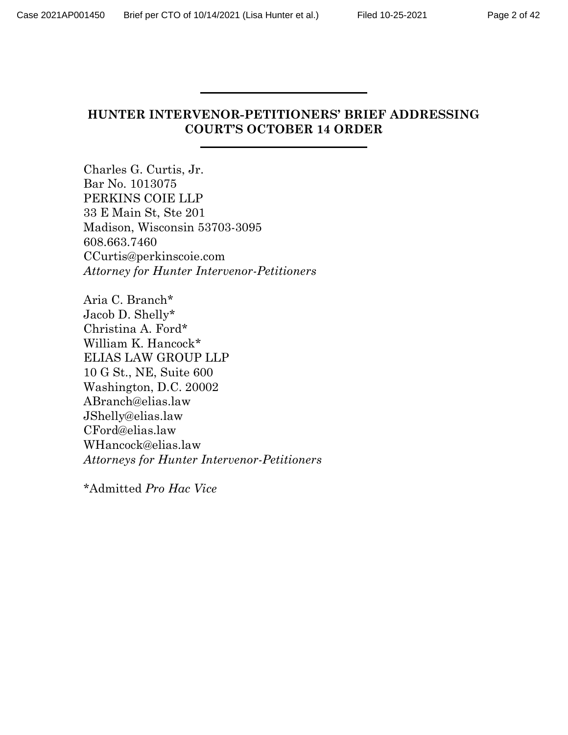## HUNTER INTERVENOR-PETITIONERS' BRIEF ADDRESSING COURT'S OCTOBER 14 ORDER

Charles G. Curtis, Jr. Bar No. 1013075 PERKINS COIE LLP 33 E Main St, Ste 201 Madison, Wisconsin 53703-3095 608.663.7460 CCurtis@perkinscoie.com Attorney for Hunter Intervenor-Petitioners

Aria C. Branch\* Jacob D. Shelly\* Christina A. Ford\* William K. Hancock\* ELIAS LAW GROUP LLP 10 G St., NE, Suite 600 Washington, D.C. 20002 ABranch@elias.law JShelly@elias.law CFord@elias.law WHancock@elias.law Attorneys for Hunter Intervenor-Petitioners

\*Admitted Pro Hac Vice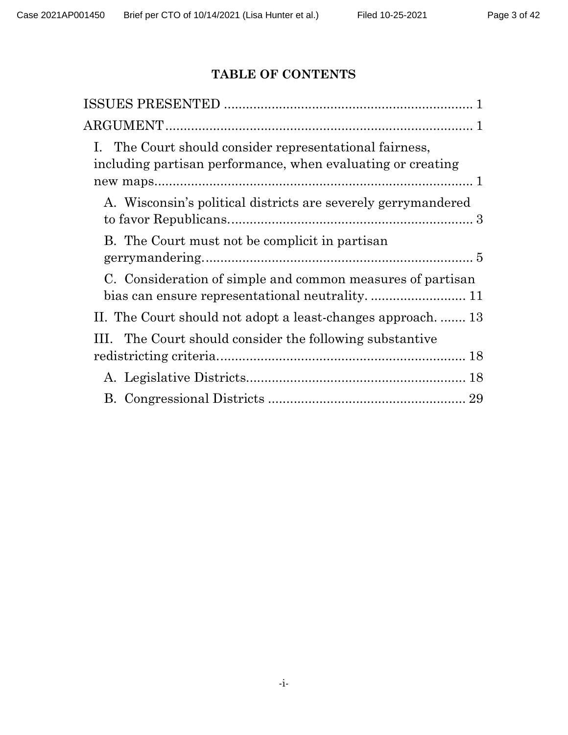# TABLE OF CONTENTS

| I. The Court should consider representational fairness,<br>including partisan performance, when evaluating or creating |
|------------------------------------------------------------------------------------------------------------------------|
| A. Wisconsin's political districts are severely gerrymandered                                                          |
| B. The Court must not be complicit in partisan                                                                         |
| C. Consideration of simple and common measures of partisan                                                             |
| II. The Court should not adopt a least-changes approach 13                                                             |
| III. The Court should consider the following substantive                                                               |
|                                                                                                                        |
|                                                                                                                        |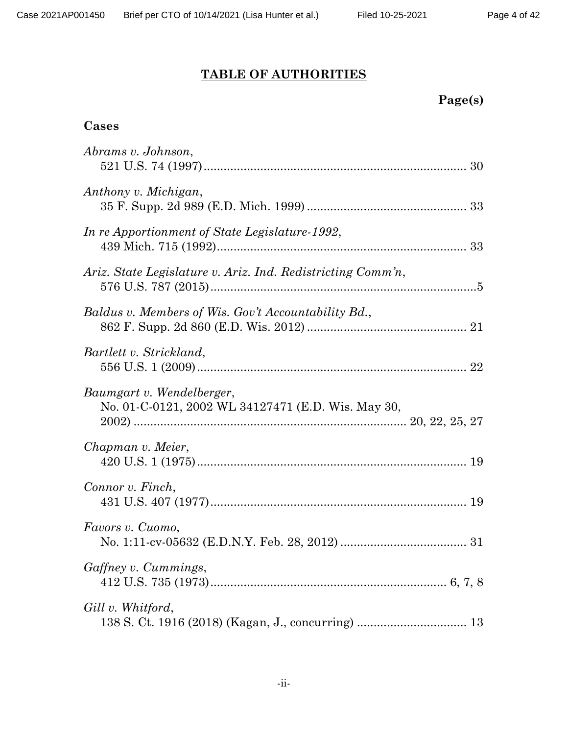# TABLE OF AUTHORITIES

| age<br>1 S I |
|--------------|
|--------------|

# Cases

| Abrams v. Johnson,                                                              |
|---------------------------------------------------------------------------------|
| Anthony v. Michigan,                                                            |
| In re Apportionment of State Legislature-1992,                                  |
| Ariz. State Legislature v. Ariz. Ind. Redistricting Comm'n,                     |
| Baldus v. Members of Wis. Gov't Accountability Bd.,                             |
| Bartlett v. Strickland,                                                         |
| Baumgart v. Wendelberger,<br>No. 01-C-0121, 2002 WL 34127471 (E.D. Wis. May 30, |
| Chapman v. Meier,                                                               |
| Connor v. Finch,                                                                |
| Favors v. Cuomo,                                                                |
| Gaffney v. Cummings,                                                            |
| Gill v. Whitford,                                                               |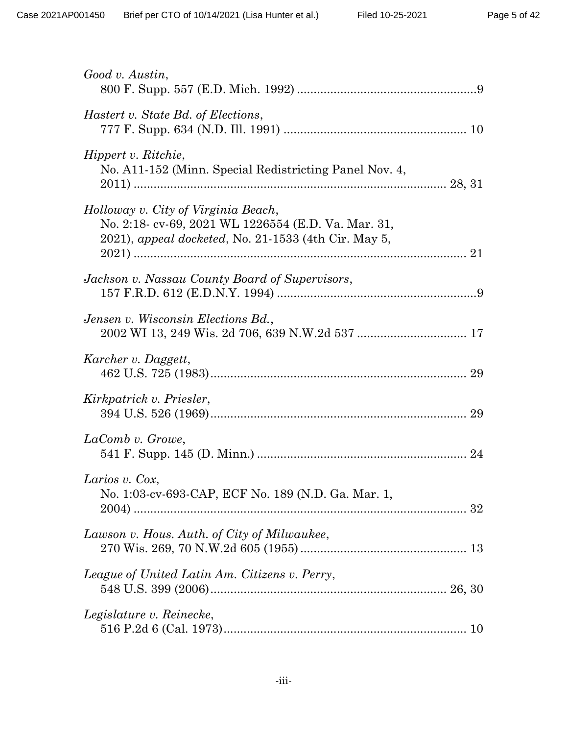| Good v. Austin,                                                                                                                                    |
|----------------------------------------------------------------------------------------------------------------------------------------------------|
| <i>Hastert v. State Bd. of Elections,</i>                                                                                                          |
| <i>Hippert v. Ritchie,</i><br>No. A11-152 (Minn. Special Redistricting Panel Nov. 4,                                                               |
| Holloway v. City of Virginia Beach,<br>No. 2:18- cv-69, 2021 WL 1226554 (E.D. Va. Mar. 31,<br>2021), appeal docketed, No. 21-1533 (4th Cir. May 5, |
| Jackson v. Nassau County Board of Supervisors,                                                                                                     |
| Jensen v. Wisconsin Elections Bd.,                                                                                                                 |
| Karcher v. Daggett,                                                                                                                                |
| Kirkpatrick v. Priesler,                                                                                                                           |
| LaComb v. Growe,                                                                                                                                   |
| Larios v. Cox,<br>No. 1:03-cv-693-CAP, ECF No. 189 (N.D. Ga. Mar. 1,                                                                               |
| Lawson v. Hous. Auth. of City of Milwaukee,                                                                                                        |
| League of United Latin Am. Citizens v. Perry,                                                                                                      |
| Legislature v. Reinecke,                                                                                                                           |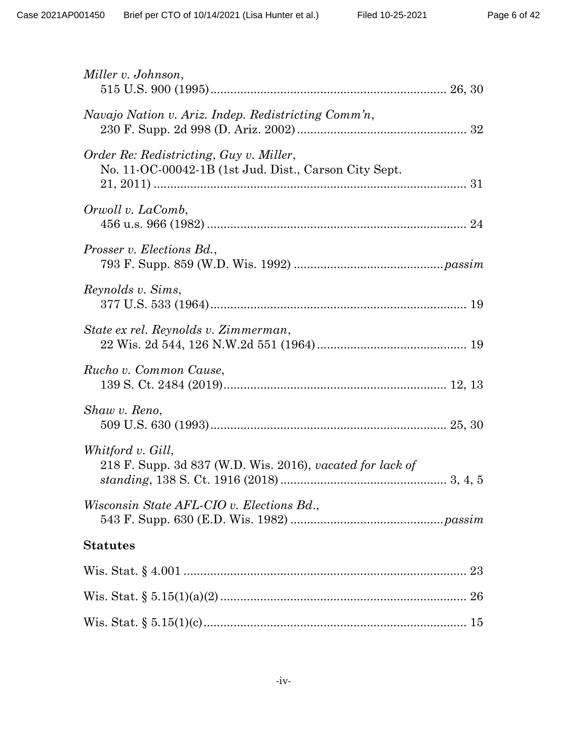| Miller v. Johnson,                                                                               |
|--------------------------------------------------------------------------------------------------|
| Navajo Nation v. Ariz. Indep. Redistricting Comm'n,                                              |
| Order Re: Redistricting, Guy v. Miller,<br>No. 11-OC-00042-1B (1st Jud. Dist., Carson City Sept. |
| Orwoll v. LaComb,                                                                                |
| Prosser v. Elections Bd.,                                                                        |
| Reynolds v. Sims,                                                                                |
| State ex rel. Reynolds v. Zimmerman,                                                             |
| Rucho v. Common Cause,                                                                           |
| Shaw v. Reno,                                                                                    |
| Whitford v. Gill,<br>218 F. Supp. 3d 837 (W.D. Wis. 2016), vacated for lack of                   |
| <i>Wisconsin State AFL-CIO v. Elections Bd.,</i>                                                 |
| <b>Statutes</b>                                                                                  |
|                                                                                                  |
|                                                                                                  |
|                                                                                                  |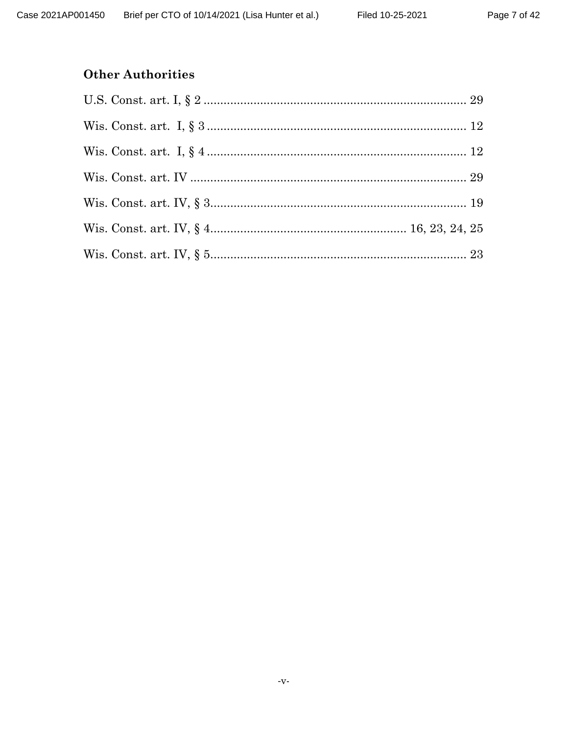# **Other Authorities**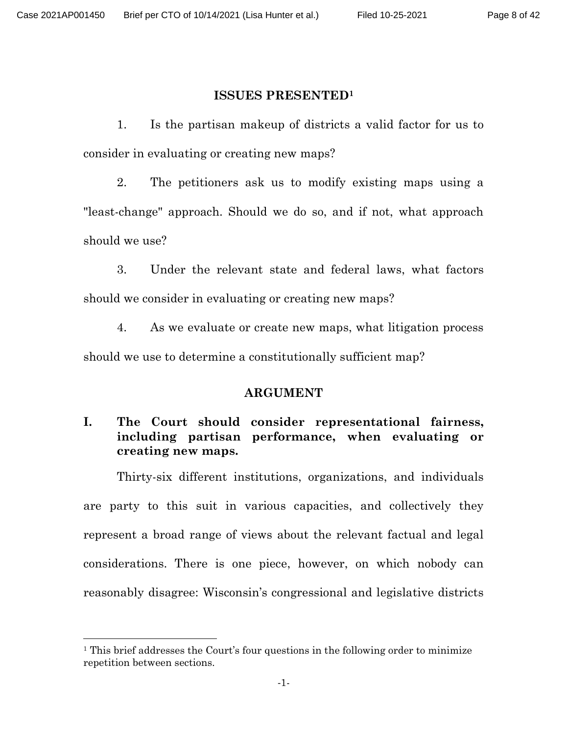#### ISSUES PRESENTED<sup>1</sup>

1. Is the partisan makeup of districts a valid factor for us to consider in evaluating or creating new maps?

2. The petitioners ask us to modify existing maps using a "least-change" approach. Should we do so, and if not, what approach should we use?

3. Under the relevant state and federal laws, what factors should we consider in evaluating or creating new maps?

4. As we evaluate or create new maps, what litigation process should we use to determine a constitutionally sufficient map?

#### ARGUMENT

## I. The Court should consider representational fairness, including partisan performance, when evaluating or creating new maps.

Thirty-six different institutions, organizations, and individuals are party to this suit in various capacities, and collectively they represent a broad range of views about the relevant factual and legal considerations. There is one piece, however, on which nobody can reasonably disagree: Wisconsin's congressional and legislative districts

<sup>&</sup>lt;sup>1</sup> This brief addresses the Court's four questions in the following order to minimize repetition between sections.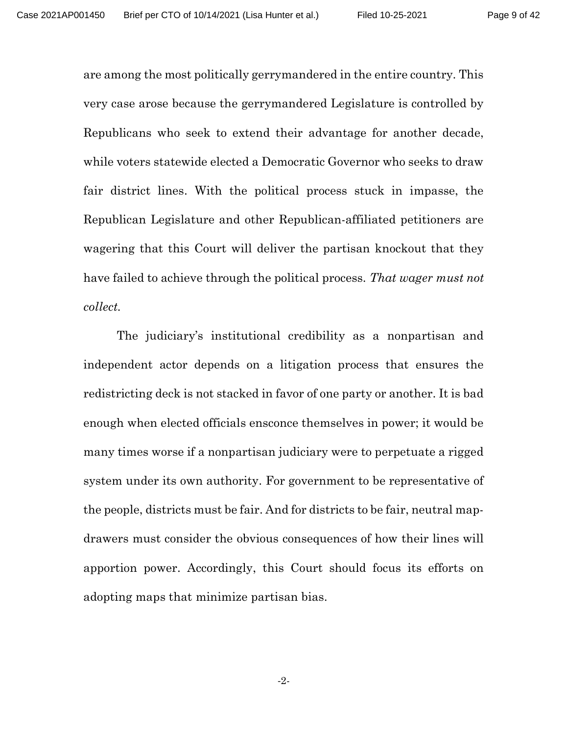are among the most politically gerrymandered in the entire country. This very case arose because the gerrymandered Legislature is controlled by Republicans who seek to extend their advantage for another decade, while voters statewide elected a Democratic Governor who seeks to draw fair district lines. With the political process stuck in impasse, the Republican Legislature and other Republican-affiliated petitioners are wagering that this Court will deliver the partisan knockout that they have failed to achieve through the political process. That wager must not collect.

The judiciary's institutional credibility as a nonpartisan and independent actor depends on a litigation process that ensures the redistricting deck is not stacked in favor of one party or another. It is bad enough when elected officials ensconce themselves in power; it would be many times worse if a nonpartisan judiciary were to perpetuate a rigged system under its own authority. For government to be representative of the people, districts must be fair. And for districts to be fair, neutral mapdrawers must consider the obvious consequences of how their lines will apportion power. Accordingly, this Court should focus its efforts on adopting maps that minimize partisan bias.

-2-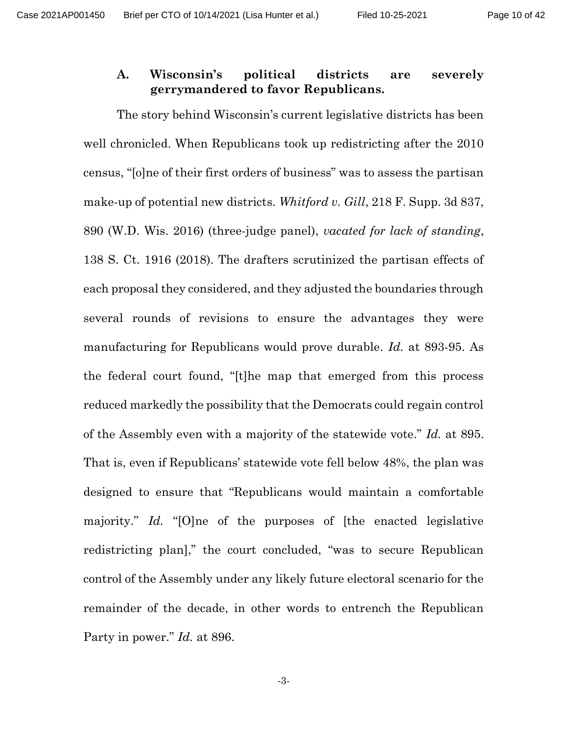## A. Wisconsin's political districts are severely gerrymandered to favor Republicans.

The story behind Wisconsin's current legislative districts has been well chronicled. When Republicans took up redistricting after the 2010 census, "[o]ne of their first orders of business" was to assess the partisan make-up of potential new districts. Whitford v. Gill, 218 F. Supp. 3d 837, 890 (W.D. Wis. 2016) (three-judge panel), vacated for lack of standing, 138 S. Ct. 1916 (2018). The drafters scrutinized the partisan effects of each proposal they considered, and they adjusted the boundaries through several rounds of revisions to ensure the advantages they were manufacturing for Republicans would prove durable. Id. at 893-95. As the federal court found, "[t]he map that emerged from this process reduced markedly the possibility that the Democrats could regain control of the Assembly even with a majority of the statewide vote." Id. at 895. That is, even if Republicans' statewide vote fell below 48%, the plan was designed to ensure that "Republicans would maintain a comfortable majority." Id. "[O]ne of the purposes of [the enacted legislative redistricting plan]," the court concluded, "was to secure Republican control of the Assembly under any likely future electoral scenario for the remainder of the decade, in other words to entrench the Republican Party in power." Id. at 896.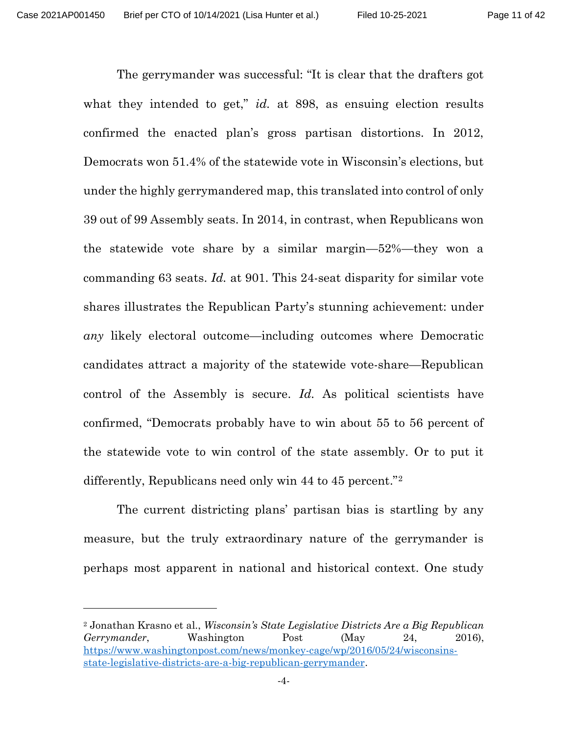The gerrymander was successful: "It is clear that the drafters got what they intended to get," *id.* at 898, as ensuing election results confirmed the enacted plan's gross partisan distortions. In 2012, Democrats won 51.4% of the statewide vote in Wisconsin's elections, but under the highly gerrymandered map, this translated into control of only 39 out of 99 Assembly seats. In 2014, in contrast, when Republicans won the statewide vote share by a similar margin—52%—they won a commanding 63 seats. Id. at 901. This 24-seat disparity for similar vote shares illustrates the Republican Party's stunning achievement: under any likely electoral outcome—including outcomes where Democratic candidates attract a majority of the statewide vote-share—Republican control of the Assembly is secure. Id. As political scientists have confirmed, "Democrats probably have to win about 55 to 56 percent of the statewide vote to win control of the state assembly. Or to put it differently, Republicans need only win 44 to 45 percent."<sup>2</sup>

The current districting plans' partisan bias is startling by any measure, but the truly extraordinary nature of the gerrymander is perhaps most apparent in national and historical context. One study

<sup>&</sup>lt;sup>2</sup> Jonathan Krasno et al., *Wisconsin's State Legislative Districts Are a Big Republican* Gerrymander, Washington Post (May 24, 2016), https://www.washingtonpost.com/news/monkey-cage/wp/2016/05/24/wisconsinsstate-legislative-districts-are-a-big-republican-gerrymander.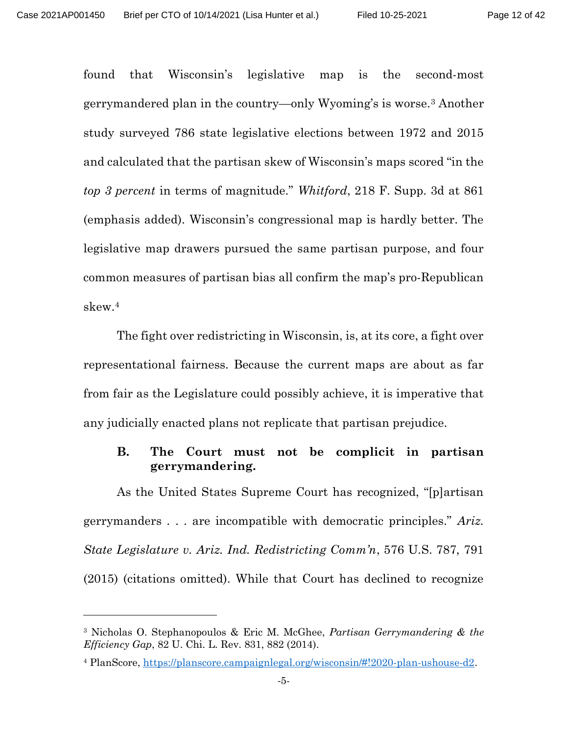found that Wisconsin's legislative map is the second-most gerrymandered plan in the country—only Wyoming's is worse.3 Another study surveyed 786 state legislative elections between 1972 and 2015 and calculated that the partisan skew of Wisconsin's maps scored "in the top 3 percent in terms of magnitude." Whitford, 218 F. Supp. 3d at 861 (emphasis added). Wisconsin's congressional map is hardly better. The legislative map drawers pursued the same partisan purpose, and four common measures of partisan bias all confirm the map's pro-Republican skew.<sup>4</sup>

The fight over redistricting in Wisconsin, is, at its core, a fight over representational fairness. Because the current maps are about as far from fair as the Legislature could possibly achieve, it is imperative that any judicially enacted plans not replicate that partisan prejudice.

### B. The Court must not be complicit in partisan gerrymandering.

As the United States Supreme Court has recognized, "[p]artisan gerrymanders . . . are incompatible with democratic principles." Ariz. State Legislature v. Ariz. Ind. Redistricting Comm'n, 576 U.S. 787, 791 (2015) (citations omitted). While that Court has declined to recognize

<sup>&</sup>lt;sup>3</sup> Nicholas O. Stephanopoulos & Eric M. McGhee, Partisan Gerrymandering & the Efficiency Gap, 82 U. Chi. L. Rev. 831, 882 (2014).

<sup>&</sup>lt;sup>4</sup> PlanScore, https://planscore.campaignlegal.org/wisconsin/#!2020-plan-ushouse-d2.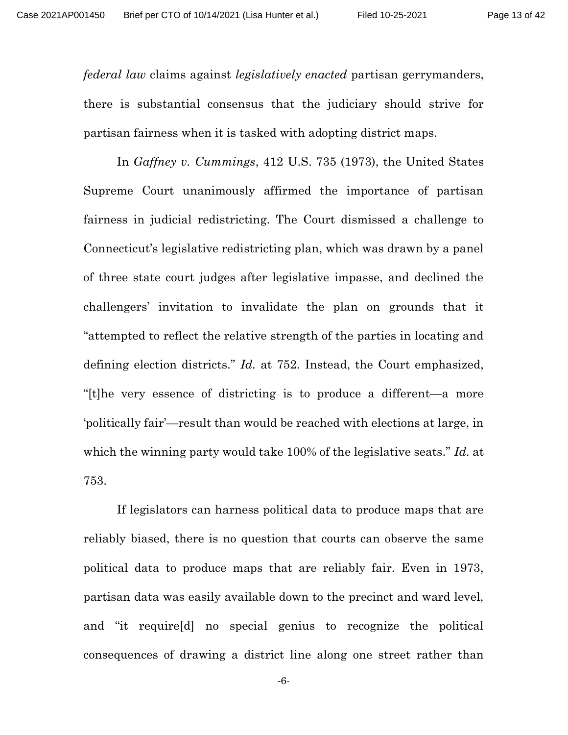federal law claims against legislatively enacted partisan gerrymanders, there is substantial consensus that the judiciary should strive for partisan fairness when it is tasked with adopting district maps.

In Gaffney v. Cummings, 412 U.S. 735 (1973), the United States Supreme Court unanimously affirmed the importance of partisan fairness in judicial redistricting. The Court dismissed a challenge to Connecticut's legislative redistricting plan, which was drawn by a panel of three state court judges after legislative impasse, and declined the challengers' invitation to invalidate the plan on grounds that it "attempted to reflect the relative strength of the parties in locating and defining election districts." Id. at 752. Instead, the Court emphasized, "[t]he very essence of districting is to produce a different—a more 'politically fair'—result than would be reached with elections at large, in which the winning party would take 100% of the legislative seats." Id. at 753.

If legislators can harness political data to produce maps that are reliably biased, there is no question that courts can observe the same political data to produce maps that are reliably fair. Even in 1973, partisan data was easily available down to the precinct and ward level, and "it require[d] no special genius to recognize the political consequences of drawing a district line along one street rather than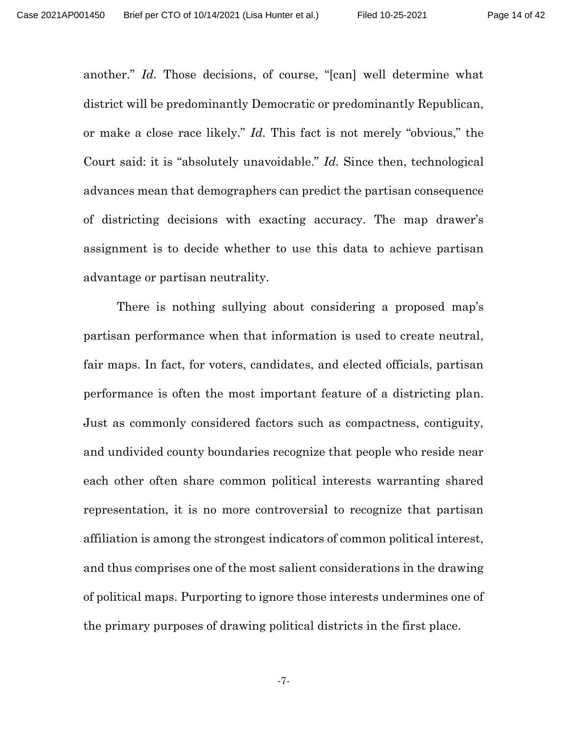another." Id. Those decisions, of course, "[can] well determine what district will be predominantly Democratic or predominantly Republican, or make a close race likely." Id. This fact is not merely "obvious," the Court said: it is "absolutely unavoidable." Id. Since then, technological advances mean that demographers can predict the partisan consequence of districting decisions with exacting accuracy. The map drawer's assignment is to decide whether to use this data to achieve partisan advantage or partisan neutrality.

There is nothing sullying about considering a proposed map's partisan performance when that information is used to create neutral, fair maps. In fact, for voters, candidates, and elected officials, partisan performance is often the most important feature of a districting plan. Just as commonly considered factors such as compactness, contiguity, and undivided county boundaries recognize that people who reside near each other often share common political interests warranting shared representation, it is no more controversial to recognize that partisan affiliation is among the strongest indicators of common political interest, and thus comprises one of the most salient considerations in the drawing of political maps. Purporting to ignore those interests undermines one of the primary purposes of drawing political districts in the first place.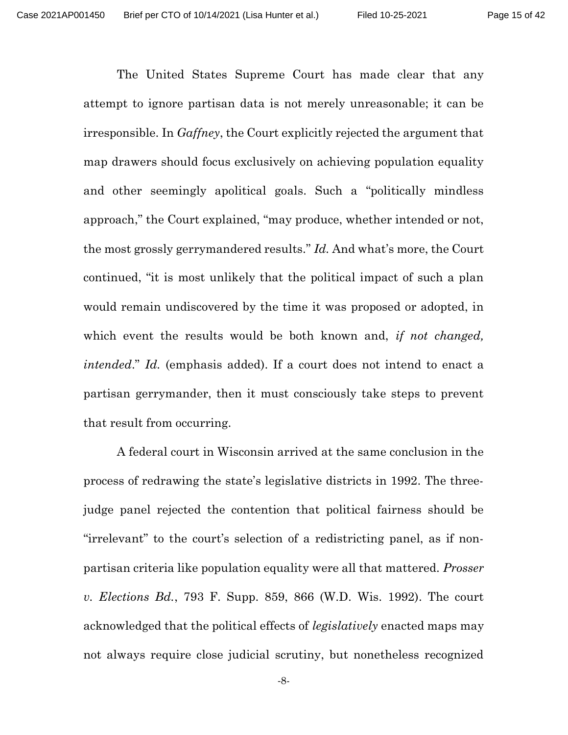The United States Supreme Court has made clear that any attempt to ignore partisan data is not merely unreasonable; it can be irresponsible. In Gaffney, the Court explicitly rejected the argument that map drawers should focus exclusively on achieving population equality and other seemingly apolitical goals. Such a "politically mindless approach," the Court explained, "may produce, whether intended or not, the most grossly gerrymandered results." Id. And what's more, the Court continued, "it is most unlikely that the political impact of such a plan would remain undiscovered by the time it was proposed or adopted, in which event the results would be both known and, if not changed, intended." Id. (emphasis added). If a court does not intend to enact a partisan gerrymander, then it must consciously take steps to prevent that result from occurring.

A federal court in Wisconsin arrived at the same conclusion in the process of redrawing the state's legislative districts in 1992. The threejudge panel rejected the contention that political fairness should be "irrelevant" to the court's selection of a redistricting panel, as if nonpartisan criteria like population equality were all that mattered. Prosser v. Elections Bd., 793 F. Supp. 859, 866 (W.D. Wis. 1992). The court acknowledged that the political effects of *legislatively* enacted maps may not always require close judicial scrutiny, but nonetheless recognized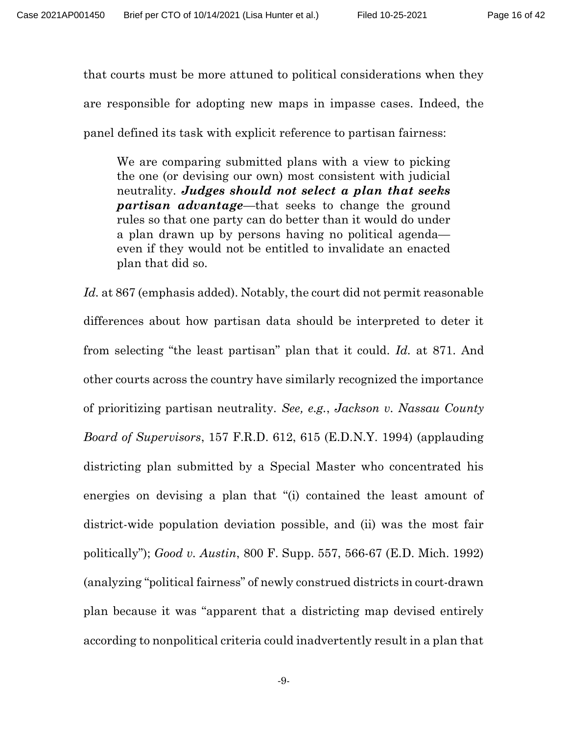that courts must be more attuned to political considerations when they are responsible for adopting new maps in impasse cases. Indeed, the panel defined its task with explicit reference to partisan fairness:

We are comparing submitted plans with a view to picking the one (or devising our own) most consistent with judicial neutrality. Judges should not select a plan that seeks partisan advantage—that seeks to change the ground rules so that one party can do better than it would do under a plan drawn up by persons having no political agenda even if they would not be entitled to invalidate an enacted plan that did so.

Id. at 867 (emphasis added). Notably, the court did not permit reasonable differences about how partisan data should be interpreted to deter it from selecting "the least partisan" plan that it could. Id. at 871. And other courts across the country have similarly recognized the importance of prioritizing partisan neutrality. See, e.g., Jackson v. Nassau County Board of Supervisors, 157 F.R.D. 612, 615 (E.D.N.Y. 1994) (applauding districting plan submitted by a Special Master who concentrated his energies on devising a plan that "(i) contained the least amount of district-wide population deviation possible, and (ii) was the most fair politically"); Good v. Austin, 800 F. Supp. 557, 566-67 (E.D. Mich. 1992) (analyzing "political fairness" of newly construed districts in court-drawn plan because it was "apparent that a districting map devised entirely according to nonpolitical criteria could inadvertently result in a plan that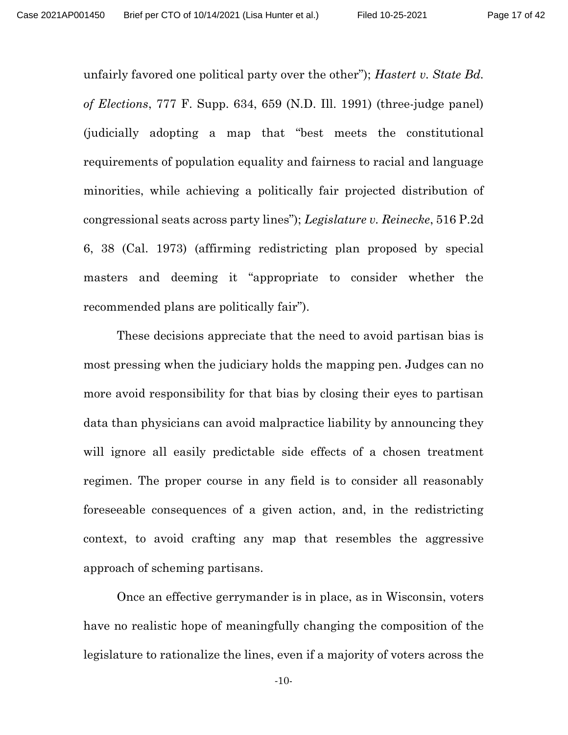unfairly favored one political party over the other"); Hastert v. State Bd. of Elections, 777 F. Supp. 634, 659 (N.D. Ill. 1991) (three-judge panel) (judicially adopting a map that "best meets the constitutional requirements of population equality and fairness to racial and language minorities, while achieving a politically fair projected distribution of congressional seats across party lines"); Legislature v. Reinecke, 516 P.2d 6, 38 (Cal. 1973) (affirming redistricting plan proposed by special masters and deeming it "appropriate to consider whether the recommended plans are politically fair").

These decisions appreciate that the need to avoid partisan bias is most pressing when the judiciary holds the mapping pen. Judges can no more avoid responsibility for that bias by closing their eyes to partisan data than physicians can avoid malpractice liability by announcing they will ignore all easily predictable side effects of a chosen treatment regimen. The proper course in any field is to consider all reasonably foreseeable consequences of a given action, and, in the redistricting context, to avoid crafting any map that resembles the aggressive approach of scheming partisans.

Once an effective gerrymander is in place, as in Wisconsin, voters have no realistic hope of meaningfully changing the composition of the legislature to rationalize the lines, even if a majority of voters across the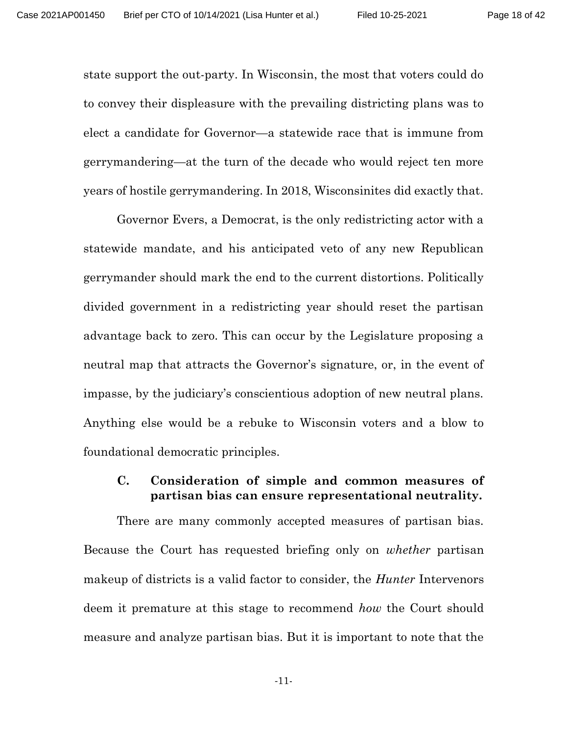state support the out-party. In Wisconsin, the most that voters could do to convey their displeasure with the prevailing districting plans was to elect a candidate for Governor—a statewide race that is immune from gerrymandering—at the turn of the decade who would reject ten more years of hostile gerrymandering. In 2018, Wisconsinites did exactly that.

Governor Evers, a Democrat, is the only redistricting actor with a statewide mandate, and his anticipated veto of any new Republican gerrymander should mark the end to the current distortions. Politically divided government in a redistricting year should reset the partisan advantage back to zero. This can occur by the Legislature proposing a neutral map that attracts the Governor's signature, or, in the event of impasse, by the judiciary's conscientious adoption of new neutral plans. Anything else would be a rebuke to Wisconsin voters and a blow to foundational democratic principles.

## C. Consideration of simple and common measures of partisan bias can ensure representational neutrality.

There are many commonly accepted measures of partisan bias. Because the Court has requested briefing only on whether partisan makeup of districts is a valid factor to consider, the *Hunter* Intervenors deem it premature at this stage to recommend how the Court should measure and analyze partisan bias. But it is important to note that the

-11-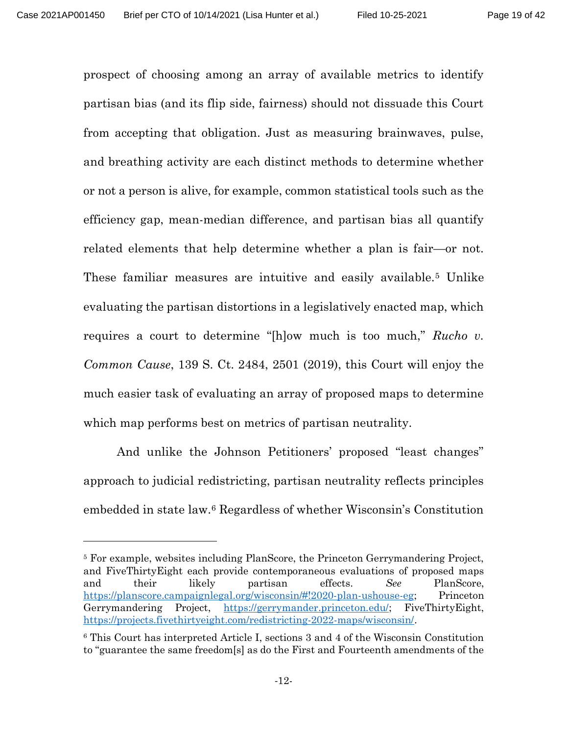prospect of choosing among an array of available metrics to identify partisan bias (and its flip side, fairness) should not dissuade this Court from accepting that obligation. Just as measuring brainwaves, pulse, and breathing activity are each distinct methods to determine whether or not a person is alive, for example, common statistical tools such as the efficiency gap, mean-median difference, and partisan bias all quantify related elements that help determine whether a plan is fair—or not. These familiar measures are intuitive and easily available.5 Unlike evaluating the partisan distortions in a legislatively enacted map, which requires a court to determine "[h]ow much is too much," Rucho v. Common Cause, 139 S. Ct. 2484, 2501 (2019), this Court will enjoy the much easier task of evaluating an array of proposed maps to determine which map performs best on metrics of partisan neutrality.

And unlike the Johnson Petitioners' proposed "least changes" approach to judicial redistricting, partisan neutrality reflects principles embedded in state law.6 Regardless of whether Wisconsin's Constitution

<sup>5</sup> For example, websites including PlanScore, the Princeton Gerrymandering Project, and FiveThirtyEight each provide contemporaneous evaluations of proposed maps and their likely partisan effects. See PlanScore, https://planscore.campaignlegal.org/wisconsin/#!2020-plan-ushouse-eg; Princeton Gerrymandering Project, https://gerrymander.princeton.edu/; FiveThirtyEight, https://projects.fivethirtyeight.com/redistricting-2022-maps/wisconsin/.

<sup>6</sup> This Court has interpreted Article I, sections 3 and 4 of the Wisconsin Constitution to "guarantee the same freedom[s] as do the First and Fourteenth amendments of the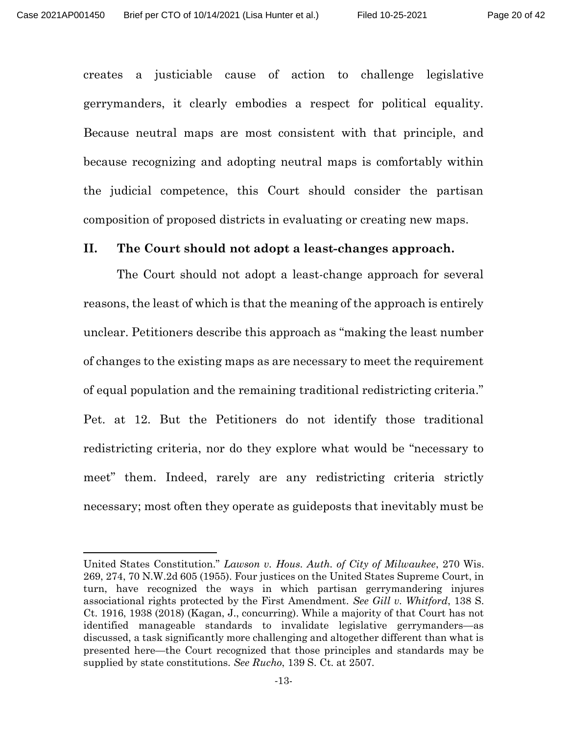creates a justiciable cause of action to challenge legislative gerrymanders, it clearly embodies a respect for political equality. Because neutral maps are most consistent with that principle, and because recognizing and adopting neutral maps is comfortably within the judicial competence, this Court should consider the partisan composition of proposed districts in evaluating or creating new maps.

#### II. The Court should not adopt a least-changes approach.

The Court should not adopt a least-change approach for several reasons, the least of which is that the meaning of the approach is entirely unclear. Petitioners describe this approach as "making the least number of changes to the existing maps as are necessary to meet the requirement of equal population and the remaining traditional redistricting criteria." Pet. at 12. But the Petitioners do not identify those traditional redistricting criteria, nor do they explore what would be "necessary to meet" them. Indeed, rarely are any redistricting criteria strictly necessary; most often they operate as guideposts that inevitably must be

United States Constitution." Lawson v. Hous. Auth. of City of Milwaukee, 270 Wis. 269, 274, 70 N.W.2d 605 (1955). Four justices on the United States Supreme Court, in turn, have recognized the ways in which partisan gerrymandering injures associational rights protected by the First Amendment. See Gill v. Whitford, 138 S. Ct. 1916, 1938 (2018) (Kagan, J., concurring). While a majority of that Court has not identified manageable standards to invalidate legislative gerrymanders—as discussed, a task significantly more challenging and altogether different than what is presented here—the Court recognized that those principles and standards may be supplied by state constitutions. See Rucho, 139 S. Ct. at 2507.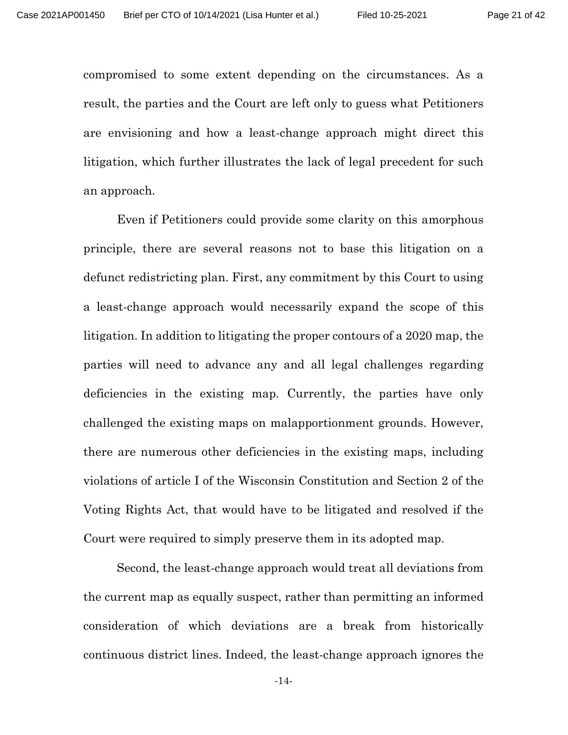compromised to some extent depending on the circumstances. As a result, the parties and the Court are left only to guess what Petitioners are envisioning and how a least-change approach might direct this litigation, which further illustrates the lack of legal precedent for such an approach.

Even if Petitioners could provide some clarity on this amorphous principle, there are several reasons not to base this litigation on a defunct redistricting plan. First, any commitment by this Court to using a least-change approach would necessarily expand the scope of this litigation. In addition to litigating the proper contours of a 2020 map, the parties will need to advance any and all legal challenges regarding deficiencies in the existing map. Currently, the parties have only challenged the existing maps on malapportionment grounds. However, there are numerous other deficiencies in the existing maps, including violations of article I of the Wisconsin Constitution and Section 2 of the Voting Rights Act, that would have to be litigated and resolved if the Court were required to simply preserve them in its adopted map.

Second, the least-change approach would treat all deviations from the current map as equally suspect, rather than permitting an informed consideration of which deviations are a break from historically continuous district lines. Indeed, the least-change approach ignores the

-14-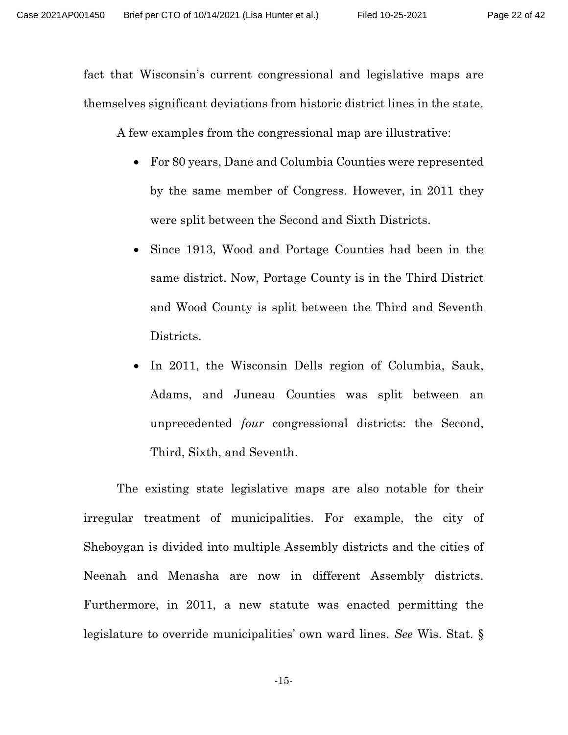fact that Wisconsin's current congressional and legislative maps are themselves significant deviations from historic district lines in the state.

A few examples from the congressional map are illustrative:

- For 80 years, Dane and Columbia Counties were represented by the same member of Congress. However, in 2011 they were split between the Second and Sixth Districts.
- Since 1913, Wood and Portage Counties had been in the same district. Now, Portage County is in the Third District and Wood County is split between the Third and Seventh Districts.
- In 2011, the Wisconsin Dells region of Columbia, Sauk, Adams, and Juneau Counties was split between an unprecedented four congressional districts: the Second, Third, Sixth, and Seventh.

The existing state legislative maps are also notable for their irregular treatment of municipalities. For example, the city of Sheboygan is divided into multiple Assembly districts and the cities of Neenah and Menasha are now in different Assembly districts. Furthermore, in 2011, a new statute was enacted permitting the legislature to override municipalities' own ward lines. See Wis. Stat. §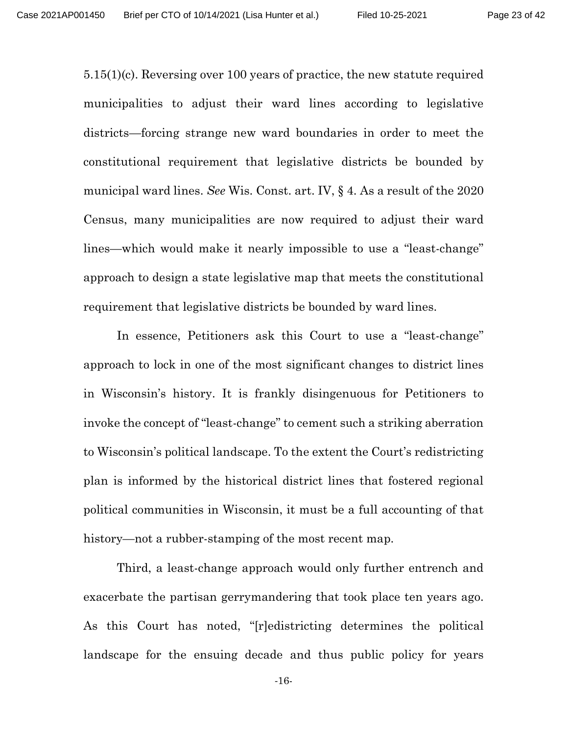5.15(1)(c). Reversing over 100 years of practice, the new statute required municipalities to adjust their ward lines according to legislative districts—forcing strange new ward boundaries in order to meet the constitutional requirement that legislative districts be bounded by municipal ward lines. See Wis. Const. art. IV, § 4. As a result of the 2020 Census, many municipalities are now required to adjust their ward lines—which would make it nearly impossible to use a "least-change" approach to design a state legislative map that meets the constitutional requirement that legislative districts be bounded by ward lines.

In essence, Petitioners ask this Court to use a "least-change" approach to lock in one of the most significant changes to district lines in Wisconsin's history. It is frankly disingenuous for Petitioners to invoke the concept of "least-change" to cement such a striking aberration to Wisconsin's political landscape. To the extent the Court's redistricting plan is informed by the historical district lines that fostered regional political communities in Wisconsin, it must be a full accounting of that history—not a rubber-stamping of the most recent map.

Third, a least-change approach would only further entrench and exacerbate the partisan gerrymandering that took place ten years ago. As this Court has noted, "[r]edistricting determines the political landscape for the ensuing decade and thus public policy for years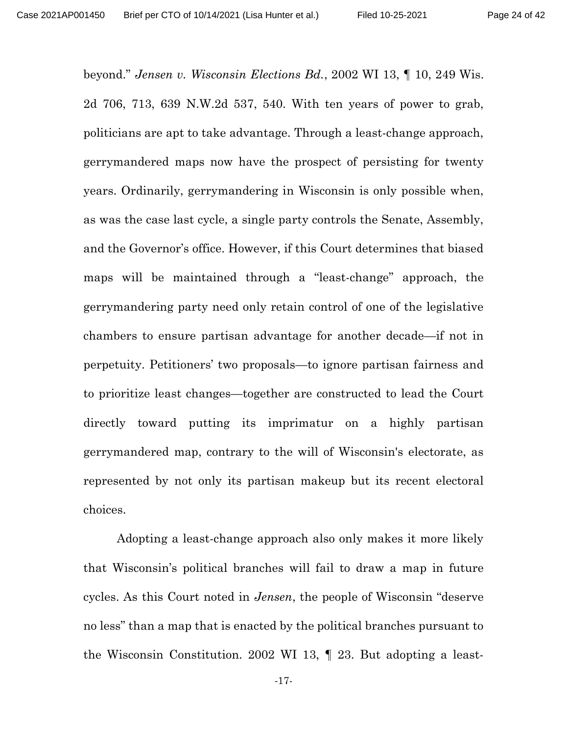beyond." Jensen v. Wisconsin Elections Bd., 2002 WI 13, ¶ 10, 249 Wis. 2d 706, 713, 639 N.W.2d 537, 540. With ten years of power to grab, politicians are apt to take advantage. Through a least-change approach, gerrymandered maps now have the prospect of persisting for twenty years. Ordinarily, gerrymandering in Wisconsin is only possible when, as was the case last cycle, a single party controls the Senate, Assembly, and the Governor's office. However, if this Court determines that biased maps will be maintained through a "least-change" approach, the gerrymandering party need only retain control of one of the legislative chambers to ensure partisan advantage for another decade—if not in perpetuity. Petitioners' two proposals—to ignore partisan fairness and to prioritize least changes—together are constructed to lead the Court directly toward putting its imprimatur on a highly partisan gerrymandered map, contrary to the will of Wisconsin's electorate, as represented by not only its partisan makeup but its recent electoral choices.

Adopting a least-change approach also only makes it more likely that Wisconsin's political branches will fail to draw a map in future cycles. As this Court noted in Jensen, the people of Wisconsin "deserve no less" than a map that is enacted by the political branches pursuant to the Wisconsin Constitution. 2002 WI 13, ¶ 23. But adopting a least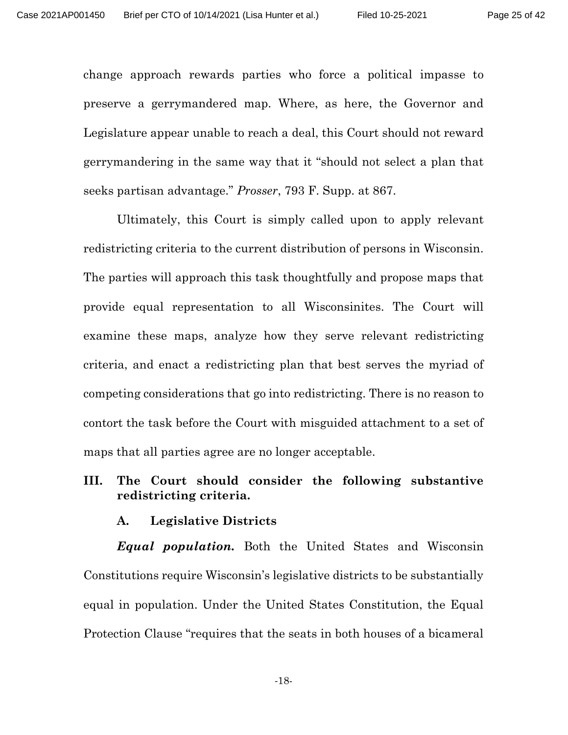change approach rewards parties who force a political impasse to preserve a gerrymandered map. Where, as here, the Governor and Legislature appear unable to reach a deal, this Court should not reward gerrymandering in the same way that it "should not select a plan that seeks partisan advantage." Prosser, 793 F. Supp. at 867.

Ultimately, this Court is simply called upon to apply relevant redistricting criteria to the current distribution of persons in Wisconsin. The parties will approach this task thoughtfully and propose maps that provide equal representation to all Wisconsinites. The Court will examine these maps, analyze how they serve relevant redistricting criteria, and enact a redistricting plan that best serves the myriad of competing considerations that go into redistricting. There is no reason to contort the task before the Court with misguided attachment to a set of maps that all parties agree are no longer acceptable.

## III. The Court should consider the following substantive redistricting criteria.

#### A. Legislative Districts

**Equal population.** Both the United States and Wisconsin Constitutions require Wisconsin's legislative districts to be substantially equal in population. Under the United States Constitution, the Equal Protection Clause "requires that the seats in both houses of a bicameral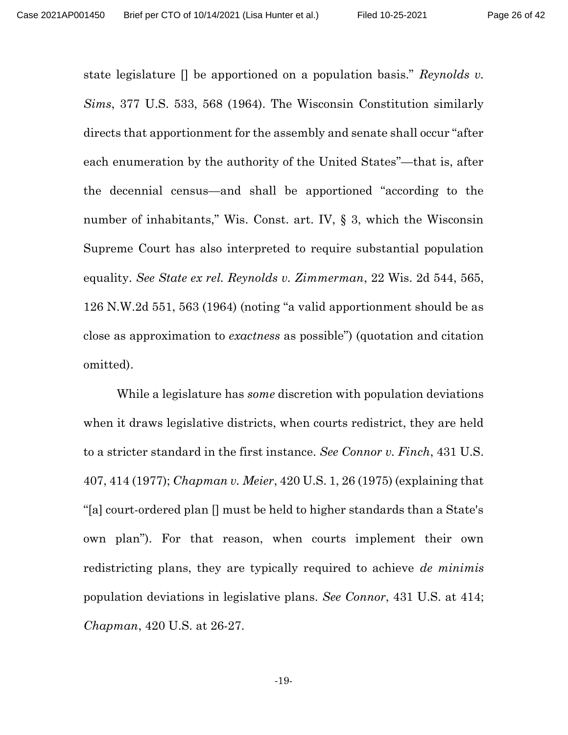state legislature  $\Box$  be apportioned on a population basis." Reynolds v. Sims, 377 U.S. 533, 568 (1964). The Wisconsin Constitution similarly directs that apportionment for the assembly and senate shall occur "after each enumeration by the authority of the United States"—that is, after the decennial census—and shall be apportioned "according to the number of inhabitants," Wis. Const. art. IV, § 3, which the Wisconsin Supreme Court has also interpreted to require substantial population equality. See State ex rel. Reynolds v. Zimmerman, 22 Wis. 2d 544, 565, 126 N.W.2d 551, 563 (1964) (noting "a valid apportionment should be as close as approximation to exactness as possible") (quotation and citation omitted).

While a legislature has *some* discretion with population deviations when it draws legislative districts, when courts redistrict, they are held to a stricter standard in the first instance. See Connor v. Finch, 431 U.S. 407, 414 (1977); Chapman v. Meier, 420 U.S. 1, 26 (1975) (explaining that "[a] court-ordered plan [] must be held to higher standards than a State's own plan"). For that reason, when courts implement their own redistricting plans, they are typically required to achieve *de minimis* population deviations in legislative plans. See Connor, 431 U.S. at 414; Chapman, 420 U.S. at 26-27.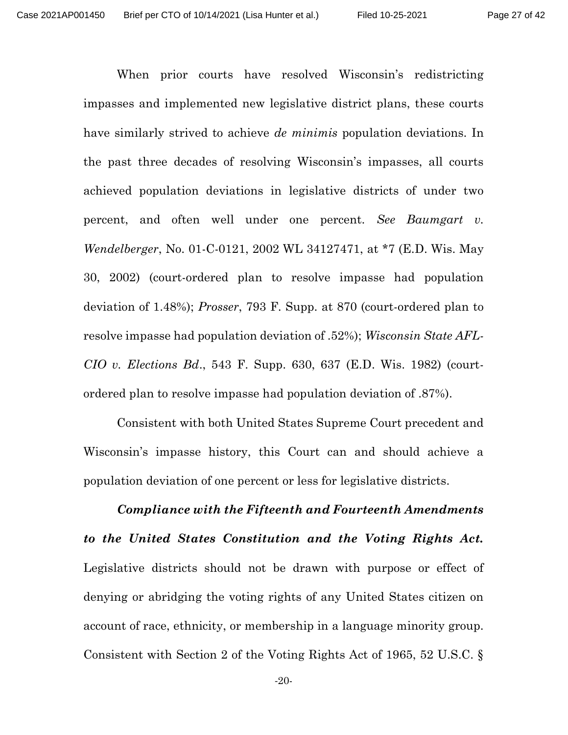When prior courts have resolved Wisconsin's redistricting impasses and implemented new legislative district plans, these courts have similarly strived to achieve *de minimis* population deviations. In the past three decades of resolving Wisconsin's impasses, all courts achieved population deviations in legislative districts of under two percent, and often well under one percent. See Baumgart v. Wendelberger, No. 01-C-0121, 2002 WL 34127471, at \*7 (E.D. Wis. May 30, 2002) (court-ordered plan to resolve impasse had population deviation of 1.48%); Prosser, 793 F. Supp. at 870 (court-ordered plan to resolve impasse had population deviation of .52%); Wisconsin State AFL-CIO v. Elections Bd., 543 F. Supp. 630, 637 (E.D. Wis. 1982) (courtordered plan to resolve impasse had population deviation of .87%).

Consistent with both United States Supreme Court precedent and Wisconsin's impasse history, this Court can and should achieve a population deviation of one percent or less for legislative districts.

Compliance with the Fifteenth and Fourteenth Amendments to the United States Constitution and the Voting Rights Act. Legislative districts should not be drawn with purpose or effect of denying or abridging the voting rights of any United States citizen on account of race, ethnicity, or membership in a language minority group. Consistent with Section 2 of the Voting Rights Act of 1965, 52 U.S.C. §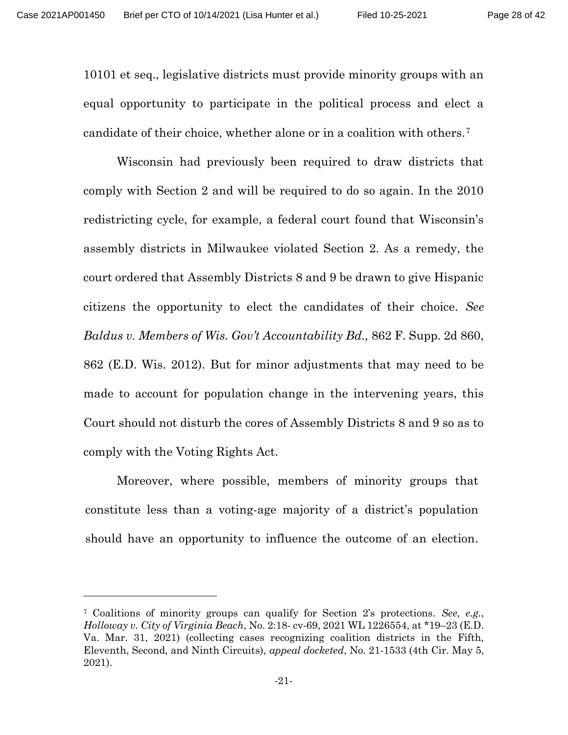10101 et seq., legislative districts must provide minority groups with an equal opportunity to participate in the political process and elect a candidate of their choice, whether alone or in a coalition with others.<sup>7</sup>

Wisconsin had previously been required to draw districts that comply with Section 2 and will be required to do so again. In the 2010 redistricting cycle, for example, a federal court found that Wisconsin's assembly districts in Milwaukee violated Section 2. As a remedy, the court ordered that Assembly Districts 8 and 9 be drawn to give Hispanic citizens the opportunity to elect the candidates of their choice. See Baldus v. Members of Wis. Gov't Accountability Bd., 862 F. Supp. 2d 860, 862 (E.D. Wis. 2012). But for minor adjustments that may need to be made to account for population change in the intervening years, this Court should not disturb the cores of Assembly Districts 8 and 9 so as to comply with the Voting Rights Act.

Moreover, where possible, members of minority groups that constitute less than a voting-age majority of a district's population should have an opportunity to influence the outcome of an election.

<sup>7</sup> Coalitions of minority groups can qualify for Section 2's protections. See, e.g., Holloway v. City of Virginia Beach, No. 2:18- cv-69, 2021 WL 1226554, at \*19–23 (E.D. Va. Mar. 31, 2021) (collecting cases recognizing coalition districts in the Fifth, Eleventh, Second, and Ninth Circuits), appeal docketed, No. 21-1533 (4th Cir. May 5, 2021).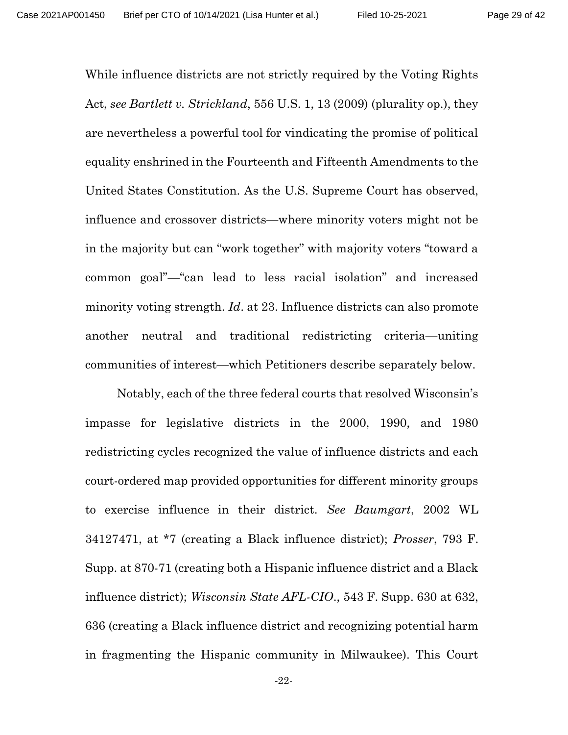While influence districts are not strictly required by the Voting Rights Act, see Bartlett v. Strickland, 556 U.S. 1, 13 (2009) (plurality op.), they are nevertheless a powerful tool for vindicating the promise of political equality enshrined in the Fourteenth and Fifteenth Amendments to the United States Constitution. As the U.S. Supreme Court has observed, influence and crossover districts—where minority voters might not be in the majority but can "work together" with majority voters "toward a common goal"—"can lead to less racial isolation" and increased minority voting strength. *Id.* at 23. Influence districts can also promote another neutral and traditional redistricting criteria—uniting communities of interest—which Petitioners describe separately below.

Notably, each of the three federal courts that resolved Wisconsin's impasse for legislative districts in the 2000, 1990, and 1980 redistricting cycles recognized the value of influence districts and each court-ordered map provided opportunities for different minority groups to exercise influence in their district. See Baumgart, 2002 WL 34127471, at \*7 (creating a Black influence district); Prosser, 793 F. Supp. at 870-71 (creating both a Hispanic influence district and a Black influence district); Wisconsin State AFL-CIO., 543 F. Supp. 630 at 632, 636 (creating a Black influence district and recognizing potential harm in fragmenting the Hispanic community in Milwaukee). This Court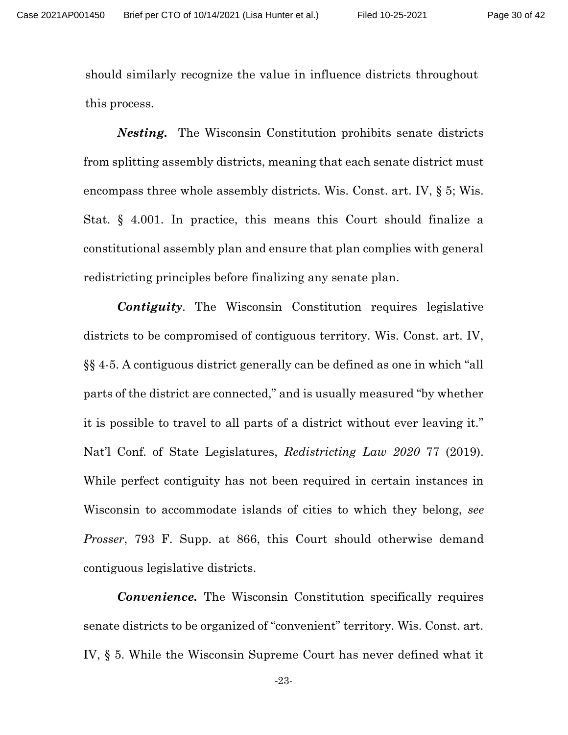should similarly recognize the value in influence districts throughout this process.

Nesting. The Wisconsin Constitution prohibits senate districts from splitting assembly districts, meaning that each senate district must encompass three whole assembly districts. Wis. Const. art. IV, § 5; Wis. Stat. § 4.001. In practice, this means this Court should finalize a constitutional assembly plan and ensure that plan complies with general redistricting principles before finalizing any senate plan.

Contiguity. The Wisconsin Constitution requires legislative districts to be compromised of contiguous territory. Wis. Const. art. IV, §§ 4-5. A contiguous district generally can be defined as one in which "all parts of the district are connected," and is usually measured "by whether it is possible to travel to all parts of a district without ever leaving it." Nat'l Conf. of State Legislatures, Redistricting Law 2020 77 (2019). While perfect contiguity has not been required in certain instances in Wisconsin to accommodate islands of cities to which they belong, see Prosser, 793 F. Supp. at 866, this Court should otherwise demand contiguous legislative districts.

**Convenience.** The Wisconsin Constitution specifically requires senate districts to be organized of "convenient" territory. Wis. Const. art. IV, § 5. While the Wisconsin Supreme Court has never defined what it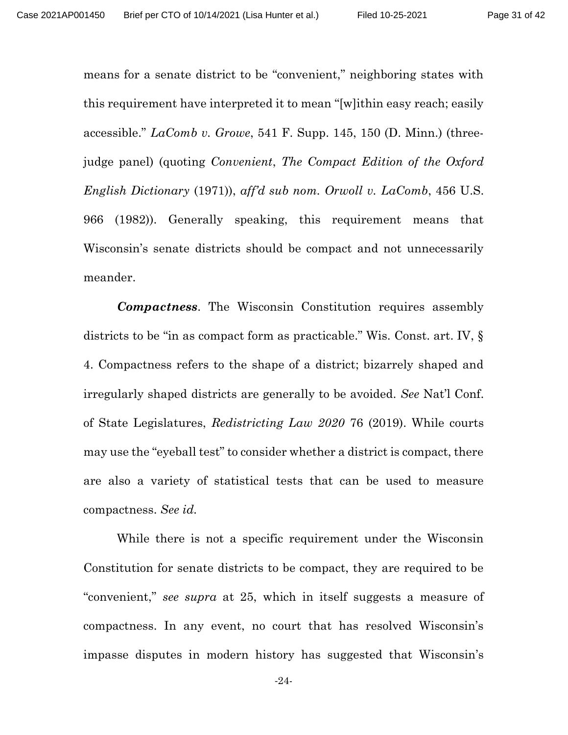means for a senate district to be "convenient," neighboring states with this requirement have interpreted it to mean "[w]ithin easy reach; easily accessible."  $LaComb\ v.$  Growe, 541 F. Supp. 145, 150 (D. Minn.) (threejudge panel) (quoting Convenient, The Compact Edition of the Oxford English Dictionary (1971)), aff'd sub nom. Orwoll v. LaComb, 456 U.S. 966 (1982)). Generally speaking, this requirement means that Wisconsin's senate districts should be compact and not unnecessarily meander.

Compactness. The Wisconsin Constitution requires assembly districts to be "in as compact form as practicable." Wis. Const. art. IV, § 4. Compactness refers to the shape of a district; bizarrely shaped and irregularly shaped districts are generally to be avoided. See Nat'l Conf. of State Legislatures, Redistricting Law 2020 76 (2019). While courts may use the "eyeball test" to consider whether a district is compact, there are also a variety of statistical tests that can be used to measure compactness. See id.

While there is not a specific requirement under the Wisconsin Constitution for senate districts to be compact, they are required to be "convenient," see supra at 25, which in itself suggests a measure of compactness. In any event, no court that has resolved Wisconsin's impasse disputes in modern history has suggested that Wisconsin's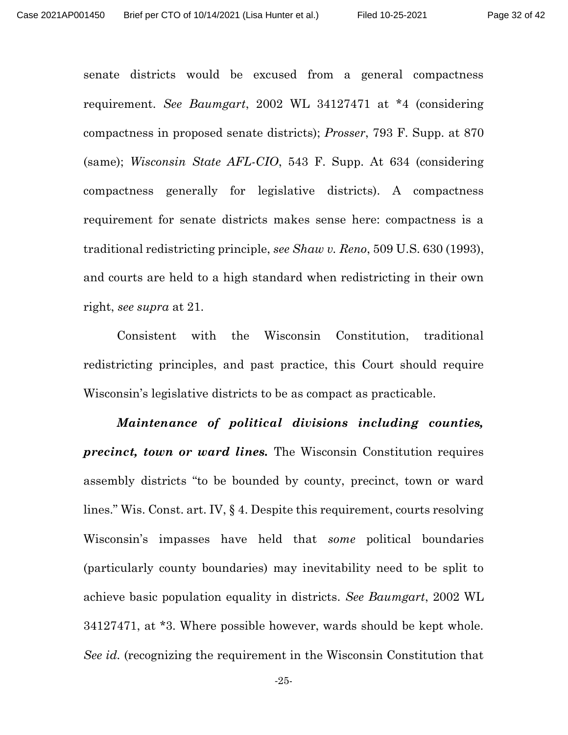senate districts would be excused from a general compactness requirement. See Baumgart, 2002 WL 34127471 at \*4 (considering compactness in proposed senate districts); Prosser, 793 F. Supp. at 870 (same); Wisconsin State AFL-CIO, 543 F. Supp. At 634 (considering compactness generally for legislative districts). A compactness requirement for senate districts makes sense here: compactness is a traditional redistricting principle, see Shaw v. Reno, 509 U.S. 630 (1993), and courts are held to a high standard when redistricting in their own right, see supra at 21.

Consistent with the Wisconsin Constitution, traditional redistricting principles, and past practice, this Court should require Wisconsin's legislative districts to be as compact as practicable.

Maintenance of political divisions including counties, precinct, town or ward lines. The Wisconsin Constitution requires assembly districts "to be bounded by county, precinct, town or ward lines." Wis. Const. art. IV, § 4. Despite this requirement, courts resolving Wisconsin's impasses have held that some political boundaries (particularly county boundaries) may inevitability need to be split to achieve basic population equality in districts. See Baumgart, 2002 WL 34127471, at \*3. Where possible however, wards should be kept whole. See id. (recognizing the requirement in the Wisconsin Constitution that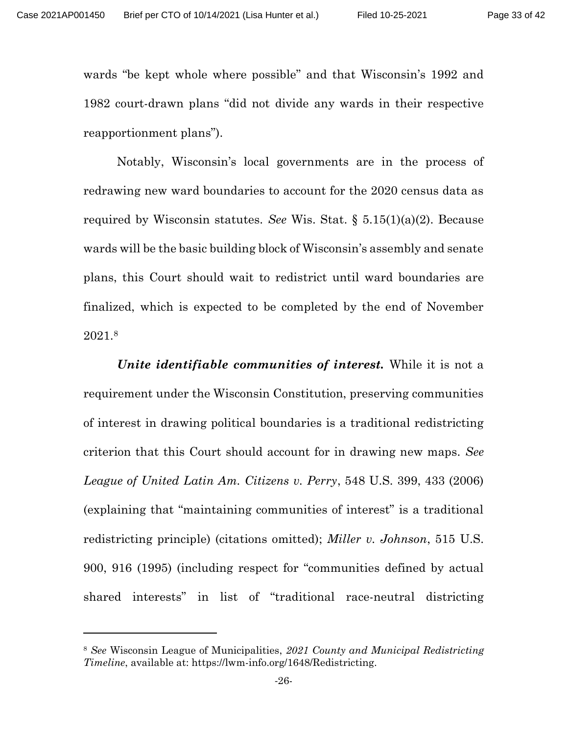wards "be kept whole where possible" and that Wisconsin's 1992 and 1982 court-drawn plans "did not divide any wards in their respective reapportionment plans").

Notably, Wisconsin's local governments are in the process of redrawing new ward boundaries to account for the 2020 census data as required by Wisconsin statutes. See Wis. Stat.  $\S 5.15(1)(a)(2)$ . Because wards will be the basic building block of Wisconsin's assembly and senate plans, this Court should wait to redistrict until ward boundaries are finalized, which is expected to be completed by the end of November 2021.<sup>8</sup>

Unite identifiable communities of interest. While it is not a requirement under the Wisconsin Constitution, preserving communities of interest in drawing political boundaries is a traditional redistricting criterion that this Court should account for in drawing new maps. See League of United Latin Am. Citizens v. Perry, 548 U.S. 399, 433 (2006) (explaining that "maintaining communities of interest" is a traditional redistricting principle) (citations omitted); *Miller v. Johnson*, 515 U.S. 900, 916 (1995) (including respect for "communities defined by actual shared interests" in list of "traditional race-neutral districting

<sup>&</sup>lt;sup>8</sup> See Wisconsin League of Municipalities, 2021 County and Municipal Redistricting Timeline, available at: https://lwm-info.org/1648/Redistricting.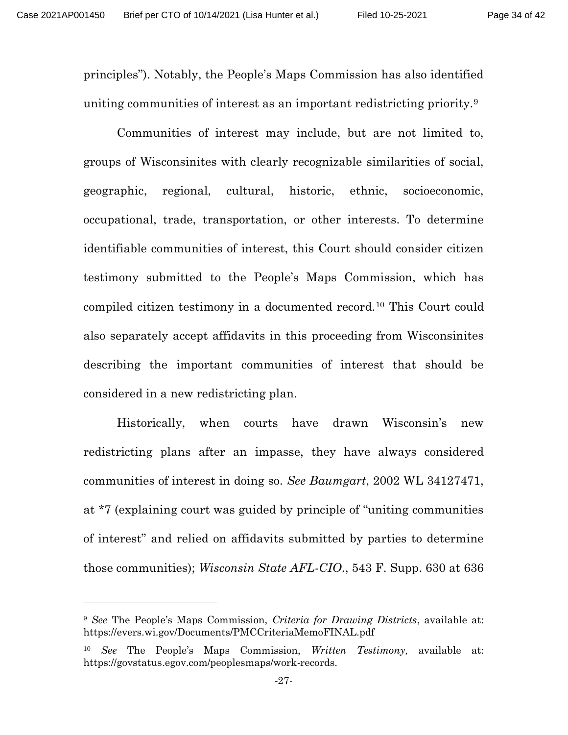principles"). Notably, the People's Maps Commission has also identified uniting communities of interest as an important redistricting priority.<sup>9</sup>

Communities of interest may include, but are not limited to, groups of Wisconsinites with clearly recognizable similarities of social, geographic, regional, cultural, historic, ethnic, socioeconomic, occupational, trade, transportation, or other interests. To determine identifiable communities of interest, this Court should consider citizen testimony submitted to the People's Maps Commission, which has compiled citizen testimony in a documented record.10 This Court could also separately accept affidavits in this proceeding from Wisconsinites describing the important communities of interest that should be considered in a new redistricting plan.

 Historically, when courts have drawn Wisconsin's new redistricting plans after an impasse, they have always considered communities of interest in doing so. See Baumgart, 2002 WL 34127471, at \*7 (explaining court was guided by principle of "uniting communities of interest" and relied on affidavits submitted by parties to determine those communities); Wisconsin State AFL-CIO., 543 F. Supp. 630 at 636

<sup>&</sup>lt;sup>9</sup> See The People's Maps Commission, Criteria for Drawing Districts, available at: https://evers.wi.gov/Documents/PMCCriteriaMemoFINAL.pdf

<sup>&</sup>lt;sup>10</sup> See The People's Maps Commission, *Written Testimony*, available at: https://govstatus.egov.com/peoplesmaps/work-records.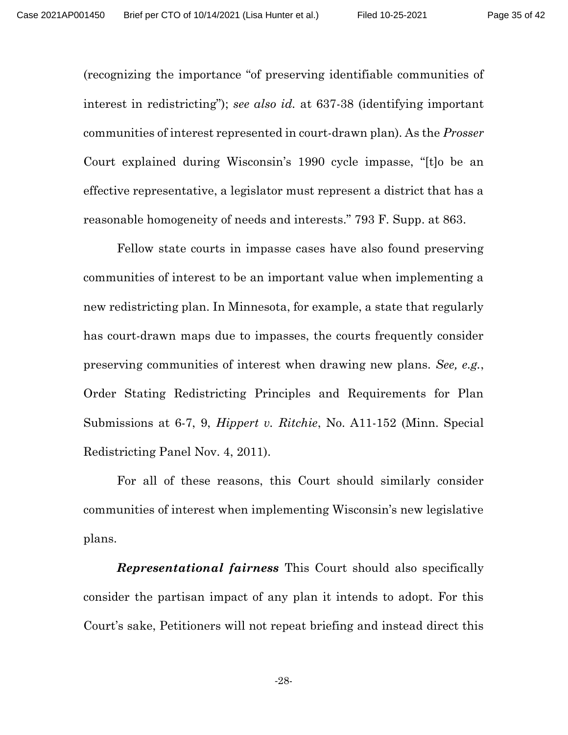(recognizing the importance "of preserving identifiable communities of interest in redistricting"); see also id. at 637-38 (identifying important communities of interest represented in court-drawn plan). As the Prosser Court explained during Wisconsin's 1990 cycle impasse, "[t]o be an effective representative, a legislator must represent a district that has a reasonable homogeneity of needs and interests." 793 F. Supp. at 863.

 Fellow state courts in impasse cases have also found preserving communities of interest to be an important value when implementing a new redistricting plan. In Minnesota, for example, a state that regularly has court-drawn maps due to impasses, the courts frequently consider preserving communities of interest when drawing new plans. See, e.g., Order Stating Redistricting Principles and Requirements for Plan Submissions at 6-7, 9, Hippert v. Ritchie, No. A11-152 (Minn. Special Redistricting Panel Nov. 4, 2011).

 For all of these reasons, this Court should similarly consider communities of interest when implementing Wisconsin's new legislative plans.

Representational fairness This Court should also specifically consider the partisan impact of any plan it intends to adopt. For this Court's sake, Petitioners will not repeat briefing and instead direct this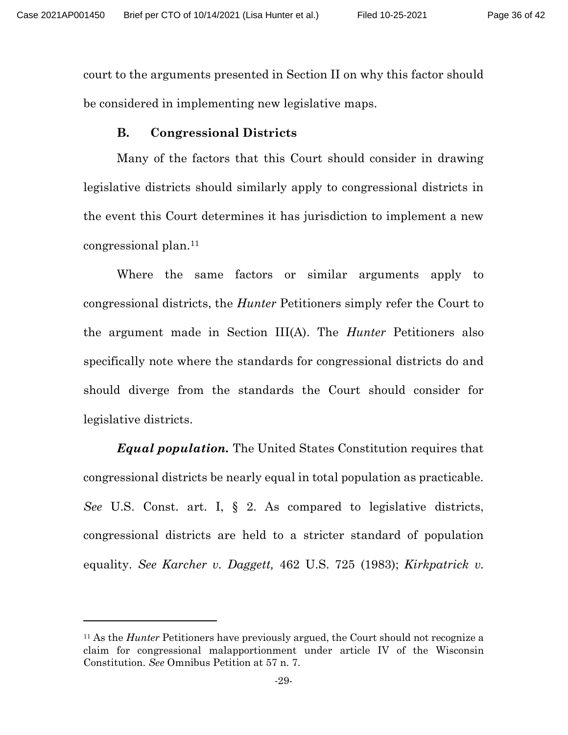court to the arguments presented in Section II on why this factor should be considered in implementing new legislative maps.

#### B. Congressional Districts

Many of the factors that this Court should consider in drawing legislative districts should similarly apply to congressional districts in the event this Court determines it has jurisdiction to implement a new congressional plan.<sup>11</sup>

Where the same factors or similar arguments apply to congressional districts, the Hunter Petitioners simply refer the Court to the argument made in Section III(A). The Hunter Petitioners also specifically note where the standards for congressional districts do and should diverge from the standards the Court should consider for legislative districts.

**Equal population.** The United States Constitution requires that congressional districts be nearly equal in total population as practicable. See U.S. Const. art. I, § 2. As compared to legislative districts, congressional districts are held to a stricter standard of population equality. See Karcher v. Daggett, 462 U.S. 725 (1983); Kirkpatrick v.

<sup>&</sup>lt;sup>11</sup> As the *Hunter* Petitioners have previously argued, the Court should not recognize a claim for congressional malapportionment under article IV of the Wisconsin Constitution. See Omnibus Petition at 57 n. 7.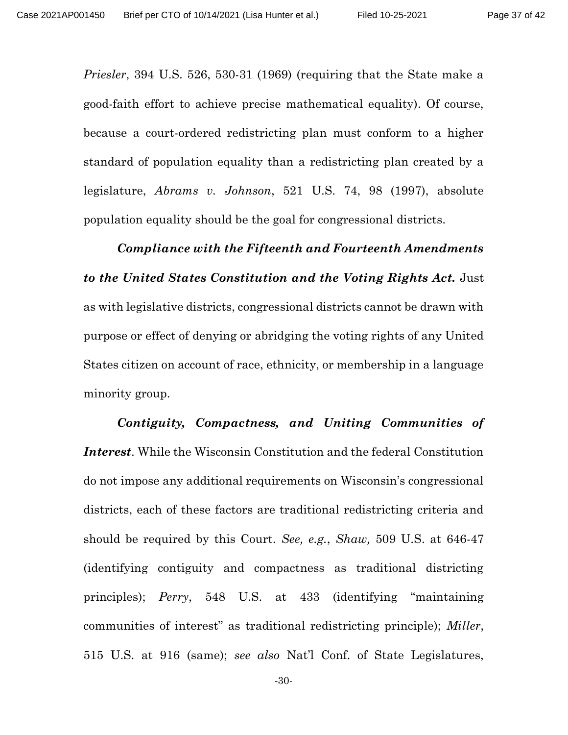Priesler, 394 U.S. 526, 530-31 (1969) (requiring that the State make a good-faith effort to achieve precise mathematical equality). Of course, because a court-ordered redistricting plan must conform to a higher standard of population equality than a redistricting plan created by a legislature, Abrams v. Johnson, 521 U.S. 74, 98 (1997), absolute population equality should be the goal for congressional districts.

Compliance with the Fifteenth and Fourteenth Amendments to the United States Constitution and the Voting Rights Act. Just as with legislative districts, congressional districts cannot be drawn with purpose or effect of denying or abridging the voting rights of any United States citizen on account of race, ethnicity, or membership in a language minority group.

Contiguity, Compactness, and Uniting Communities of Interest. While the Wisconsin Constitution and the federal Constitution do not impose any additional requirements on Wisconsin's congressional districts, each of these factors are traditional redistricting criteria and should be required by this Court. See, e.g., Shaw, 509 U.S. at 646-47 (identifying contiguity and compactness as traditional districting principles); Perry, 548 U.S. at 433 (identifying "maintaining communities of interest" as traditional redistricting principle); Miller, 515 U.S. at 916 (same); see also Nat'l Conf. of State Legislatures,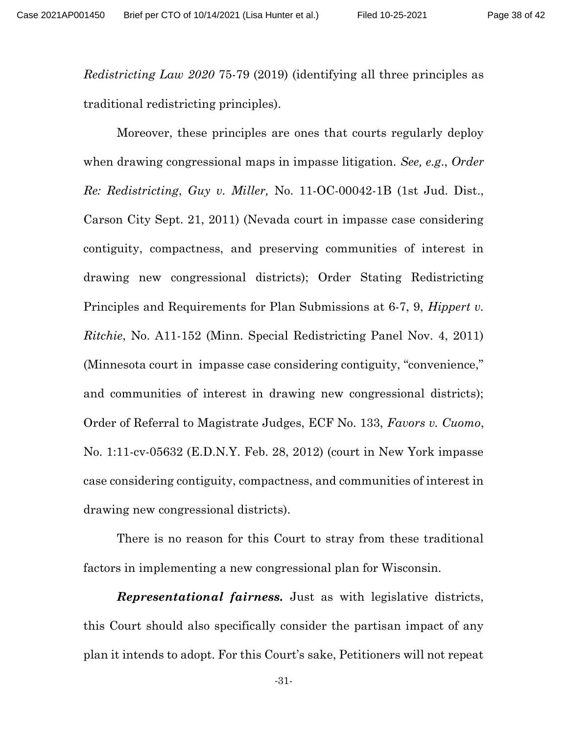Redistricting Law 2020 75-79 (2019) (identifying all three principles as traditional redistricting principles).

Moreover, these principles are ones that courts regularly deploy when drawing congressional maps in impasse litigation. See, e.g., Order Re: Redistricting, Guy v. Miller, No. 11-OC-00042-1B (1st Jud. Dist., Carson City Sept. 21, 2011) (Nevada court in impasse case considering contiguity, compactness, and preserving communities of interest in drawing new congressional districts); Order Stating Redistricting Principles and Requirements for Plan Submissions at 6-7, 9, *Hippert v.* Ritchie, No. A11-152 (Minn. Special Redistricting Panel Nov. 4, 2011) (Minnesota court in impasse case considering contiguity, "convenience," and communities of interest in drawing new congressional districts); Order of Referral to Magistrate Judges, ECF No. 133, Favors v. Cuomo, No. 1:11-cv-05632 (E.D.N.Y. Feb. 28, 2012) (court in New York impasse case considering contiguity, compactness, and communities of interest in drawing new congressional districts).

There is no reason for this Court to stray from these traditional factors in implementing a new congressional plan for Wisconsin.

Representational fairness. Just as with legislative districts, this Court should also specifically consider the partisan impact of any plan it intends to adopt. For this Court's sake, Petitioners will not repeat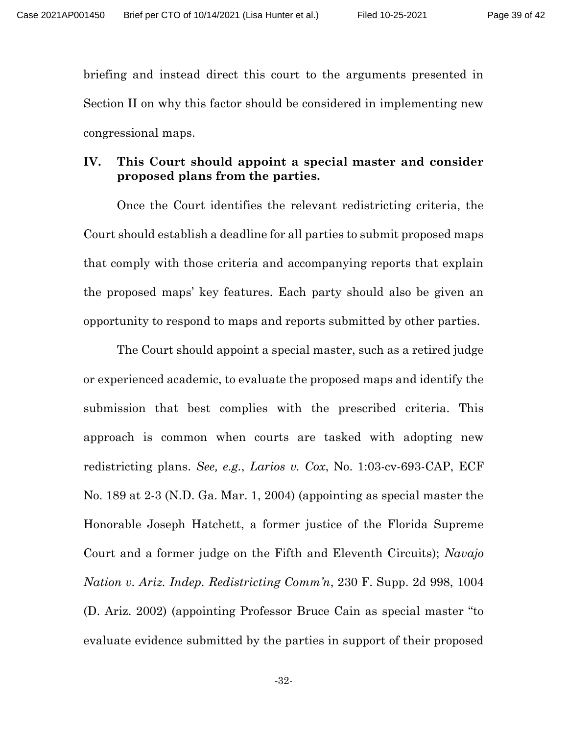briefing and instead direct this court to the arguments presented in Section II on why this factor should be considered in implementing new congressional maps.

## IV. This Court should appoint a special master and consider proposed plans from the parties.

Once the Court identifies the relevant redistricting criteria, the Court should establish a deadline for all parties to submit proposed maps that comply with those criteria and accompanying reports that explain the proposed maps' key features. Each party should also be given an opportunity to respond to maps and reports submitted by other parties.

The Court should appoint a special master, such as a retired judge or experienced academic, to evaluate the proposed maps and identify the submission that best complies with the prescribed criteria. This approach is common when courts are tasked with adopting new redistricting plans. See, e.g., Larios v. Cox, No. 1:03-cv-693-CAP, ECF No. 189 at 2-3 (N.D. Ga. Mar. 1, 2004) (appointing as special master the Honorable Joseph Hatchett, a former justice of the Florida Supreme Court and a former judge on the Fifth and Eleventh Circuits); Navajo Nation v. Ariz. Indep. Redistricting Comm'n, 230 F. Supp. 2d 998, 1004 (D. Ariz. 2002) (appointing Professor Bruce Cain as special master "to evaluate evidence submitted by the parties in support of their proposed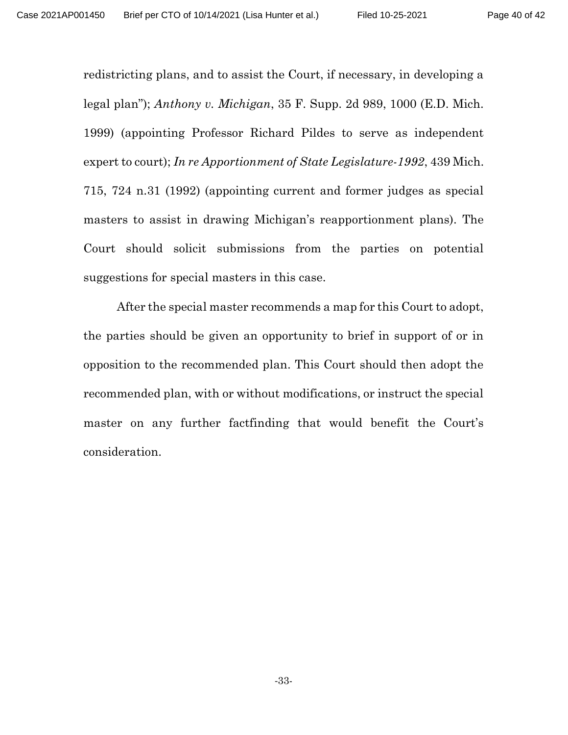Page 40 of 42

redistricting plans, and to assist the Court, if necessary, in developing a legal plan"); Anthony v. Michigan,  $35$  F. Supp. 2d 989, 1000 (E.D. Mich. 1999) (appointing Professor Richard Pildes to serve as independent expert to court); In re Apportionment of State Legislature-1992, 439 Mich. 715, 724 n.31 (1992) (appointing current and former judges as special masters to assist in drawing Michigan's reapportionment plans). The Court should solicit submissions from the parties on potential suggestions for special masters in this case.

 After the special master recommends a map for this Court to adopt, the parties should be given an opportunity to brief in support of or in opposition to the recommended plan. This Court should then adopt the recommended plan, with or without modifications, or instruct the special master on any further factfinding that would benefit the Court's consideration.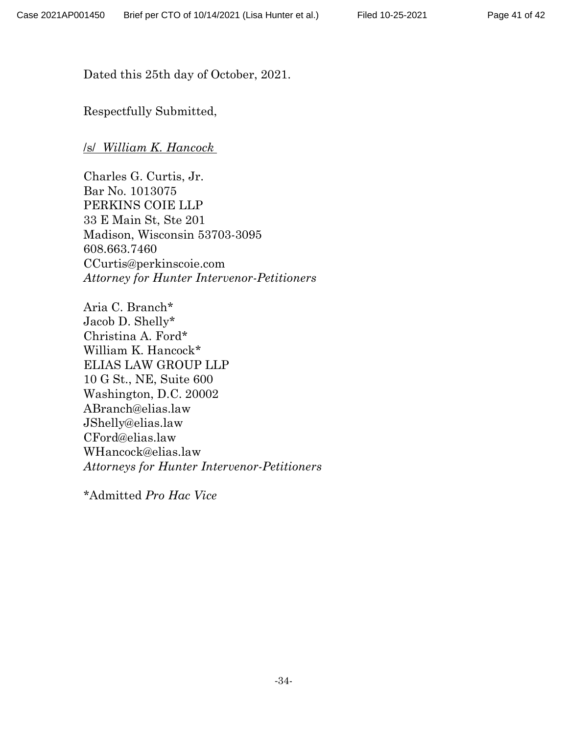## Dated this 25th day of October, 2021.

#### Respectfully Submitted,

#### /s/ William K. Hancock

Charles G. Curtis, Jr. Bar No. 1013075 PERKINS COIE LLP 33 E Main St, Ste 201 Madison, Wisconsin 53703-3095 608.663.7460 CCurtis@perkinscoie.com Attorney for Hunter Intervenor-Petitioners

Aria C. Branch\* Jacob D. Shelly\* Christina A. Ford\* William K. Hancock\* ELIAS LAW GROUP LLP 10 G St., NE, Suite 600 Washington, D.C. 20002 ABranch@elias.law JShelly@elias.law CFord@elias.law WHancock@elias.law Attorneys for Hunter Intervenor-Petitioners

\*Admitted Pro Hac Vice